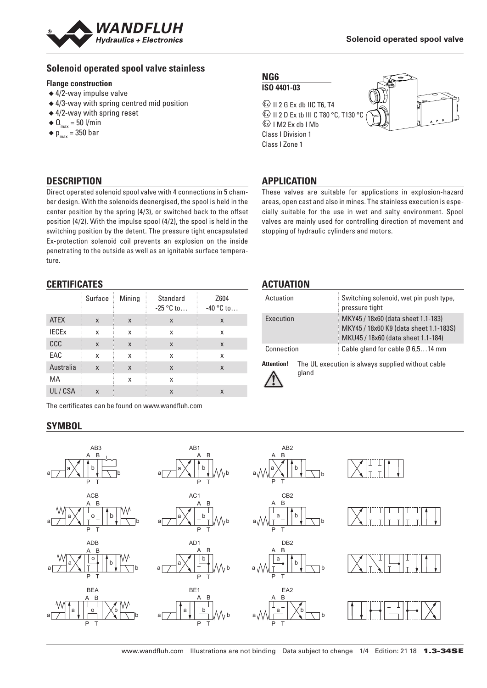

## **Solenoid operated spool valve stainless**

#### **Flange construction**

- ◆ 4/2-way impulse valve
- ◆ 4/3-way with spring centred mid position
- ◆ 4/2-way with spring reset
- $\triangleleft$  Q<sub>max</sub> = 50 l/min
- $\bullet$  p<sub>max</sub> = 350 bar

## **DESCRIPTION**

Direct operated solenoid spool valve with 4 connections in 5 chamber design. With the solenoids deenergised, the spool is held in the center position by the spring (4/3), or switched back to the offset position (4/2). With the impulse spool (4/2), the spool is held in the switching position by the detent. The pressure tight encapsulated Ex-protection solenoid coil prevents an explosion on the inside penetrating to the outside as well as an ignitable surface temperature.

#### **CERTIFICATES**

|              | Surface | Mining | Standard<br>$-25 °C$ to   | Z604<br>$-40$ °C to |
|--------------|---------|--------|---------------------------|---------------------|
| <b>ATEX</b>  | X       | X      | X                         | X                   |
| <b>IECEX</b> | X       | X      | x                         | x                   |
| CCC          | X       | X      | $\boldsymbol{\mathsf{X}}$ | X                   |
| EAC          | X       | X      | X                         | X                   |
| Australia    | X       | X      | X                         | X                   |
| МA           |         | X      | X                         |                     |
| UL/CSA       | X       |        | X                         | X                   |

The certificates can be found on www.wandfluh.com

## **SYMBOL**

**NG6 ISO 4401-03**

 $\textcircled{k}$  II 2 G Ex db IIC T6, T4 **ED II 2 D Ex tb III C T80 °C, T130 °C**  $\&$  I M2 Ex db I Mb Class I Division 1 Class I Zone 1



## **APPLICATION**

These valves are suitable for applications in explosion-hazard areas, open cast and also in mines. The stainless execution is especially suitable for the use in wet and salty environment. Spool valves are mainly used for controlling direction of movement and stopping of hydraulic cylinders and motors.

## **ACTUATION**

| Actuation         |                                                   | Switching solenoid, wet pin push type,<br>pressure tight                                                           |  |  |
|-------------------|---------------------------------------------------|--------------------------------------------------------------------------------------------------------------------|--|--|
| Execution         |                                                   | MKY45 / 18x60 (data sheet 1.1-183)<br>MKY45 / 18x60 K9 (data sheet 1.1-183S)<br>MKU45 / 18x60 (data sheet 1.1-184) |  |  |
| Connection        |                                                   | Cable gland for cable Ø 6,514 mm                                                                                   |  |  |
| <b>Attention!</b> | The UL execution is always supplied without cable |                                                                                                                    |  |  |



gland

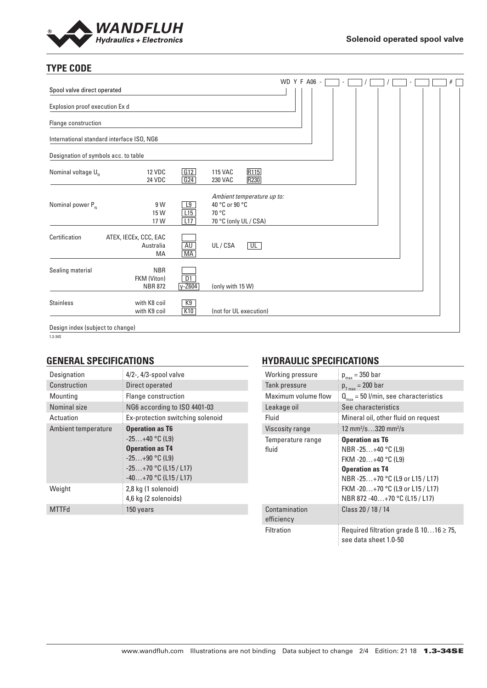

# **TYPE CODE**

| Spool valve direct operated               |                                             |                  |                                                                                | WD Y F A06 - |  |  |  | $\#$ |
|-------------------------------------------|---------------------------------------------|------------------|--------------------------------------------------------------------------------|--------------|--|--|--|------|
| Explosion proof execution Ex d            |                                             |                  |                                                                                |              |  |  |  |      |
| Flange construction                       |                                             |                  |                                                                                |              |  |  |  |      |
| International standard interface ISO, NG6 |                                             |                  |                                                                                |              |  |  |  |      |
| Designation of symbols acc. to table      |                                             |                  |                                                                                |              |  |  |  |      |
| Nominal voltage $U_{N}$                   | <b>12 VDC</b><br><b>24 VDC</b>              | G12<br>G24       | R115<br><b>115 VAC</b><br>R230<br>230 VAC                                      |              |  |  |  |      |
| Nominal power $P_{N}$                     | 9 W<br>15 W<br>17 W                         | L9<br>L15<br>L17 | Ambient temperature up to:<br>40 °C or 90 °C<br>70 °C<br>70 °C (only UL / CSA) |              |  |  |  |      |
| Certification                             | ATEX, IECEx, CCC, EAC<br>Australia<br>MA    | <b>AU</b><br>MA  | UL<br>UL/CSA                                                                   |              |  |  |  |      |
| Sealing material                          | <b>NBR</b><br>FKM (Viton)<br><b>NBR 872</b> | D1<br>$y - Z604$ | (only with 15 W)                                                               |              |  |  |  |      |
| <b>Stainless</b>                          | with K8 coil<br>with K9 coil                | K9<br>K10        | (not for UL execution)                                                         |              |  |  |  |      |
| Design index (subject to change)          |                                             |                  |                                                                                |              |  |  |  |      |

 $\frac{1}{1.3 - 34S}$ 

## **GENERAL SPECIFICATIONS**

| Designation         | $4/2$ -, $4/3$ -spool valve                                                                                                                    |
|---------------------|------------------------------------------------------------------------------------------------------------------------------------------------|
| Construction        | Direct operated                                                                                                                                |
| Mounting            | Flange construction                                                                                                                            |
| Nominal size        | NG6 according to ISO 4401-03                                                                                                                   |
| Actuation           | Ex-protection switching solenoid                                                                                                               |
| Ambient temperature | <b>Operation as T6</b><br>$-25+40$ °C (L9)<br><b>Operation as T4</b><br>$-25+90$ °C (L9)<br>$-25+70$ °C (L15 / L17)<br>$-40+70$ °C (L15 / L17) |
| Weight              | 2,8 kg (1 solenoid)<br>4,6 kg (2 solenoids)                                                                                                    |
| <b>MTTFd</b>        | 150 years                                                                                                                                      |

## **HYDRAULIC SPECIFICATIONS**

| Working pressure       | $p_{max}$ = 350 bar                                                        |  |  |  |  |
|------------------------|----------------------------------------------------------------------------|--|--|--|--|
| Tank pressure          | $p_{T_{max}}$ = 200 bar                                                    |  |  |  |  |
| Maximum volume flow    | $Q_{\text{max}}$ = 50 l/min, see characteristics                           |  |  |  |  |
| Leakage oil            | See characteristics                                                        |  |  |  |  |
| Fluid                  | Mineral oil, other fluid on request                                        |  |  |  |  |
| <b>Viscosity range</b> | 12 mm <sup>2</sup> /s320 mm <sup>2</sup> /s                                |  |  |  |  |
| Temperature range      | <b>Operation as T6</b>                                                     |  |  |  |  |
| fluid                  | NBR -25+40 °C (L9)                                                         |  |  |  |  |
|                        | FKM -20+40 °C (L9)                                                         |  |  |  |  |
|                        | <b>Operation as T4</b>                                                     |  |  |  |  |
|                        | NBR-25+70 °C (L9 or L15 / L17)                                             |  |  |  |  |
|                        | FKM -20+70 °C (L9 or L15 / L17)                                            |  |  |  |  |
|                        | NBR 872 -40+70 °C (L15 / L17)                                              |  |  |  |  |
| Contamination          | Class 20 / 18 / 14                                                         |  |  |  |  |
| efficiency             |                                                                            |  |  |  |  |
| <b>Filtration</b>      | Required filtration grade $\beta$ 1016 $\geq$ 75,<br>see data sheet 1.0-50 |  |  |  |  |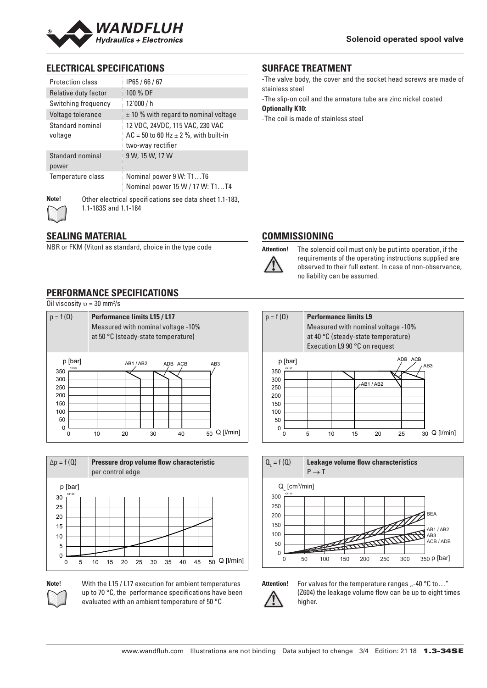

## **ELECTRICAL SPECIFICATIONS**

| <b>Protection class</b>     | IP65/66/67                                                                                          |
|-----------------------------|-----------------------------------------------------------------------------------------------------|
| Relative duty factor        | 100 % DF                                                                                            |
| Switching frequency         | 12'000 / h                                                                                          |
| Voltage tolerance           | $\pm$ 10 % with regard to nominal voltage                                                           |
| Standard nominal<br>voltage | 12 VDC, 24VDC, 115 VAC, 230 VAC<br>$AC = 50$ to 60 Hz $\pm$ 2 %, with built-in<br>two-way rectifier |
| Standard nominal<br>power   | 9 W, 15 W, 17 W                                                                                     |
| Temperature class           | Nominal power 9 W: T1T6<br>Nominal power 15 W / 17 W: T1T4                                          |
| Note!                       | Other electrical specifications see data sheet 1 1-183                                              |



**Note!** Other electrical specifications see data sheet 1.1-183, 1.1-183S and 1.1-184

#### **SEALING MATERIAL**

NBR or FKM (Viton) as standard, choice in the type code

## **PERFORMANCE SPECIFICATIONS**

Oil viscosity  $v = 30$  mm<sup>2</sup>/s

| $p = f(Q)$                                                                      |    | <b>Performance limits L15 / L17</b><br>at 50 °C (steady-state temperature) |    | Measured with nominal voltage -10% |                 |
|---------------------------------------------------------------------------------|----|----------------------------------------------------------------------------|----|------------------------------------|-----------------|
| p [bar]<br>K4196<br>350<br>300<br>250<br>200<br>150<br>100<br>50<br>$\mathbf 0$ |    | AB1/AB2                                                                    |    | ADB ACB                            | AB <sub>3</sub> |
|                                                                                 | 10 | 20                                                                         | 30 | 40                                 | Q [l/min]<br>50 |



**Note!** With the L15 / L17 execution for ambient temperatures up to 70 °C, the performance specifications have been evaluated with an ambient temperature of 50 °C

#### **SURFACE TREATMENT**

-The valve body, the cover and the socket head screws are made of stainless steel

-The slip-on coil and the armature tube are zinc nickel coated **Optionally K10:**

-The coil is made of stainless steel

## **COMMISSIONING**



**Attention!** The solenoid coil must only be put into operation, if the requirements of the operating instructions supplied are observed to their full extent. In case of non-observance, no liability can be assumed.

## p = f (Q) **Performance limits L9**

Measured with nominal voltage -10% at 40 °C (steady-state temperature) Execution L9 90 °C on request





Attention! For valves for the temperature ranges "-40 °C to..." (Z604) the leakage volume flow can be up to eight times higher.